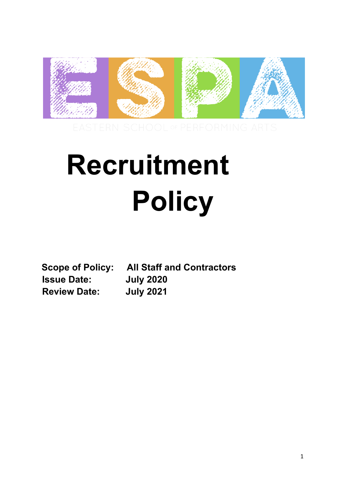

# **Recruitment Policy**

**Issue Date: July 2020 Review Date: July 2021**

**Scope of Policy: All Staff and Contractors**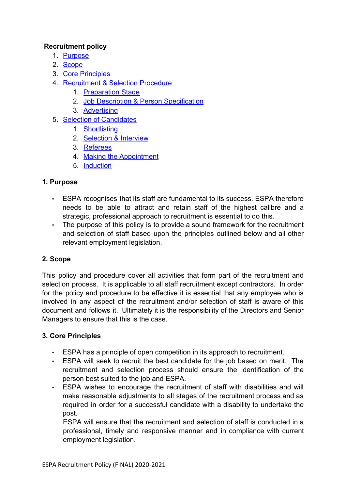## **Recruitment policy**

- 1. Purpose
- 2. Scope
- 3. Core Principles
- 4. Recruitment & Selection Procedure
	- 1. Preparation Stage
	- 2. Job Description & Person Specification
	- 3. Advertising
- 5. Selection of Candidates
	- 1. Shortlisting
	- 2. Selection & Interview
	- 3. Referees
	- 4. Making the Appointment
	- 5. Induction

# **1. Purpose**

- ESPA recognises that its staff are fundamental to its success. ESPA therefore needs to be able to attract and retain staff of the highest calibre and a strategic, professional approach to recruitment is essential to do this.
- The purpose of this policy is to provide a sound framework for the recruitment and selection of staff based upon the principles outlined below and all other relevant employment legislation.

# **2. Scope**

This policy and procedure cover all activities that form part of the recruitment and selection process. It is applicable to all staff recruitment except contractors. In order for the policy and procedure to be effective it is essential that any employee who is involved in any aspect of the recruitment and/or selection of staff is aware of this document and follows it. Ultimately it is the responsibility of the Directors and Senior Managers to ensure that this is the case.

# **3. Core Principles**

- ESPA has a principle of open competition in its approach to recruitment.
- ESPA will seek to recruit the best candidate for the job based on merit. The recruitment and selection process should ensure the identification of the person best suited to the job and ESPA.
- ESPA wishes to encourage the recruitment of staff with disabilities and will make reasonable adjustments to all stages of the recruitment process and as required in order for a successful candidate with a disability to undertake the post.

ESPA will ensure that the recruitment and selection of staff is conducted in a professional, timely and responsive manner and in compliance with current employment legislation.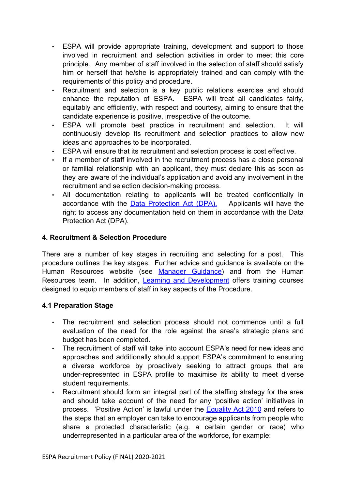- ESPA will provide appropriate training, development and support to those involved in recruitment and selection activities in order to meet this core principle. Any member of staff involved in the selection of staff should satisfy him or herself that he/she is appropriately trained and can comply with the requirements of this policy and procedure.
- Recruitment and selection is a key public relations exercise and should enhance the reputation of ESPA. ESPA will treat all candidates fairly, equitably and efficiently, with respect and courtesy, aiming to ensure that the candidate experience is positive, irrespective of the outcome.
- ESPA will promote best practice in recruitment and selection. It will continuously develop its recruitment and selection practices to allow new ideas and approaches to be incorporated.
- ESPA will ensure that its recruitment and selection process is cost effective.
- If a member of staff involved in the recruitment process has a close personal or familial relationship with an applicant, they must declare this as soon as they are aware of the individual's application and avoid any involvement in the recruitment and selection decision-making process.
- All documentation relating to applicants will be treated confidentially in accordance with the Data Protection Act (DPA). Applicants will have the right to access any documentation held on them in accordance with the Data Protection Act (DPA).

## **4. Recruitment & Selection Procedure**

There are a number of key stages in recruiting and selecting for a post. This procedure outlines the key stages. Further advice and guidance is available on the Human Resources website (see Manager Guidance) and from the Human Resources team. In addition, Learning and Development offers training courses designed to equip members of staff in key aspects of the Procedure.

## **4.1 Preparation Stage**

- The recruitment and selection process should not commence until a full evaluation of the need for the role against the area's strategic plans and budget has been completed.
- The recruitment of staff will take into account ESPA's need for new ideas and approaches and additionally should support ESPA's commitment to ensuring a diverse workforce by proactively seeking to attract groups that are under-represented in ESPA profile to maximise its ability to meet diverse student requirements.
- Recruitment should form an integral part of the staffing strategy for the area and should take account of the need for any 'positive action' initiatives in process. 'Positive Action' is lawful under the Equality Act 2010 and refers to the steps that an employer can take to encourage applicants from people who share a protected characteristic (e.g. a certain gender or race) who underrepresented in a particular area of the workforce, for example: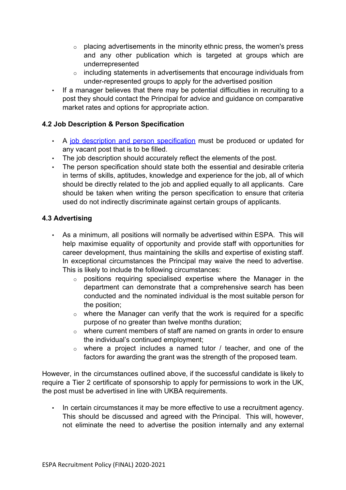- $\circ$  placing advertisements in the minority ethnic press, the women's press and any other publication which is targeted at groups which are underrepresented
- o including statements in advertisements that encourage individuals from under-represented groups to apply for the advertised position
- If a manager believes that there may be potential difficulties in recruiting to a post they should contact the Principal for advice and guidance on comparative market rates and options for appropriate action.

## **4.2 Job Description & Person Specification**

- A job description and person specification must be produced or updated for any vacant post that is to be filled.
- The job description should accurately reflect the elements of the post.
- The person specification should state both the essential and desirable criteria in terms of skills, aptitudes, knowledge and experience for the job, all of which should be directly related to the job and applied equally to all applicants. Care should be taken when writing the person specification to ensure that criteria used do not indirectly discriminate against certain groups of applicants.

## **4.3 Advertising**

- As a minimum, all positions will normally be advertised within ESPA. This will help maximise equality of opportunity and provide staff with opportunities for career development, thus maintaining the skills and expertise of existing staff. In exceptional circumstances the Principal may waive the need to advertise. This is likely to include the following circumstances:
	- o positions requiring specialised expertise where the Manager in the department can demonstrate that a comprehensive search has been conducted and the nominated individual is the most suitable person for the position;
	- $\circ$  where the Manager can verify that the work is required for a specific purpose of no greater than twelve months duration;
	- $\circ$  where current members of staff are named on grants in order to ensure the individual's continued employment;
	- $\circ$  where a project includes a named tutor / teacher, and one of the factors for awarding the grant was the strength of the proposed team.

However, in the circumstances outlined above, if the successful candidate is likely to require a Tier 2 certificate of sponsorship to apply for permissions to work in the UK, the post must be advertised in line with UKBA requirements.

• In certain circumstances it may be more effective to use a recruitment agency. This should be discussed and agreed with the Principal. This will, however, not eliminate the need to advertise the position internally and any external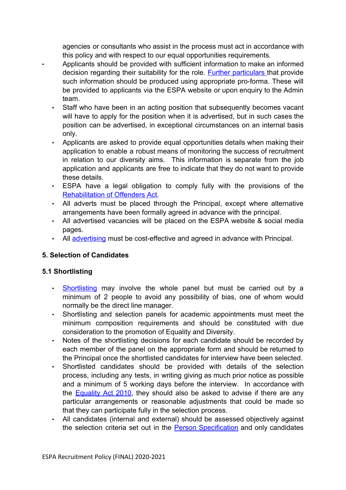agencies or consultants who assist in the process must act in accordance with this policy and with respect to our equal opportunities requirements.

- Applicants should be provided with sufficient information to make an informed decision regarding their suitability for the role. Further particulars that provide such information should be produced using appropriate pro-forma. These will be provided to applicants via the ESPA website or upon enquiry to the Admin team.
- Staff who have been in an acting position that subsequently becomes vacant will have to apply for the position when it is advertised, but in such cases the position can be advertised, in exceptional circumstances on an internal basis only.
- Applicants are asked to provide equal opportunities details when making their application to enable a robust means of monitoring the success of recruitment in relation to our diversity aims. This information is separate from the job application and applicants are free to indicate that they do not want to provide these details.
- ESPA have a legal obligation to comply fully with the provisions of the Rehabilitation of Offenders Act.
- All adverts must be placed through the Principal, except where alternative arrangements have been formally agreed in advance with the principal.
- All advertised vacancies will be placed on the ESPA website & social media pages.
- All advertising must be cost-effective and agreed in advance with Principal.

# **5. Selection of Candidates**

## **5.1 Shortlisting**

- Shortlisting may involve the whole panel but must be carried out by a minimum of 2 people to avoid any possibility of bias, one of whom would normally be the direct line manager.
- Shortlisting and selection panels for academic appointments must meet the minimum composition requirements and should be constituted with due consideration to the promotion of Equality and Diversity.
- Notes of the shortlisting decisions for each candidate should be recorded by each member of the panel on the appropriate form and should be returned to the Principal once the shortlisted candidates for interview have been selected.
- Shortlisted candidates should be provided with details of the selection process, including any tests, in writing giving as much prior notice as possible and a minimum of 5 working days before the interview. In accordance with the **Equality Act 2010**, they should also be asked to advise if there are any particular arrangements or reasonable adjustments that could be made so that they can participate fully in the selection process.
- All candidates (internal and external) should be assessed objectively against the selection criteria set out in the **Person Specification** and only candidates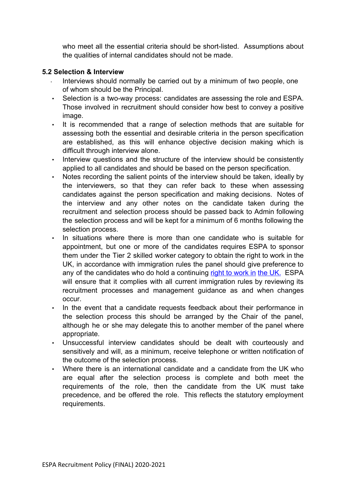who meet all the essential criteria should be short-listed. Assumptions about the qualities of internal candidates should not be made.

#### **5.2 Selection & Interview**

- Interviews should normally be carried out by a minimum of two people, one of whom should be the Principal.
- Selection is a two-way process: candidates are assessing the role and ESPA. Those involved in recruitment should consider how best to convey a positive image.
- It is recommended that a range of selection methods that are suitable for assessing both the essential and desirable criteria in the person specification are established, as this will enhance objective decision making which is difficult through interview alone.
- Interview questions and the structure of the interview should be consistently applied to all candidates and should be based on the person specification.
- Notes recording the salient points of the interview should be taken, ideally by the interviewers, so that they can refer back to these when assessing candidates against the person specification and making decisions. Notes of the interview and any other notes on the candidate taken during the recruitment and selection process should be passed back to Admin following the selection process and will be kept for a minimum of 6 months following the selection process.
- In situations where there is more than one candidate who is suitable for appointment, but one or more of the candidates requires ESPA to sponsor them under the Tier 2 skilled worker category to obtain the right to work in the UK, in accordance with immigration rules the panel should give preference to any of the candidates who do hold a continuing right to work in the UK. ESPA will ensure that it complies with all current immigration rules by reviewing its recruitment processes and management guidance as and when changes occur.
- In the event that a candidate requests feedback about their performance in the selection process this should be arranged by the Chair of the panel, although he or she may delegate this to another member of the panel where appropriate.
- Unsuccessful interview candidates should be dealt with courteously and sensitively and will, as a minimum, receive telephone or written notification of the outcome of the selection process.
- Where there is an international candidate and a candidate from the UK who are equal after the selection process is complete and both meet the requirements of the role, then the candidate from the UK must take precedence, and be offered the role. This reflects the statutory employment requirements.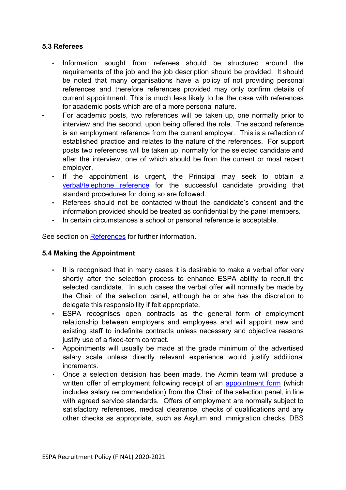#### **5.3 Referees**

- Information sought from referees should be structured around the requirements of the job and the job description should be provided. It should be noted that many organisations have a policy of not providing personal references and therefore references provided may only confirm details of current appointment. This is much less likely to be the case with references for academic posts which are of a more personal nature.
- For academic posts, two references will be taken up, one normally prior to interview and the second, upon being offered the role. The second reference is an employment reference from the current employer. This is a reflection of established practice and relates to the nature of the references. For support posts two references will be taken up, normally for the selected candidate and after the interview, one of which should be from the current or most recent employer.
- If the appointment is urgent, the Principal may seek to obtain a verbal/telephone reference for the successful candidate providing that standard procedures for doing so are followed.
- Referees should not be contacted without the candidate's consent and the information provided should be treated as confidential by the panel members.
- In certain circumstances a school or personal reference is acceptable.

See section on References for further information.

#### **5.4 Making the Appointment**

- It is recognised that in many cases it is desirable to make a verbal offer very shortly after the selection process to enhance ESPA ability to recruit the selected candidate. In such cases the verbal offer will normally be made by the Chair of the selection panel, although he or she has the discretion to delegate this responsibility if felt appropriate.
- ESPA recognises open contracts as the general form of employment relationship between employers and employees and will appoint new and existing staff to indefinite contracts unless necessary and objective reasons justify use of a fixed-term contract.
- Appointments will usually be made at the grade minimum of the advertised salary scale unless directly relevant experience would justify additional increments.
- Once a selection decision has been made, the Admin team will produce a written offer of employment following receipt of an **appointment form** (which includes salary recommendation) from the Chair of the selection panel, in line with agreed service standards. Offers of employment are normally subject to satisfactory references, medical clearance, checks of qualifications and any other checks as appropriate, such as Asylum and Immigration checks, DBS